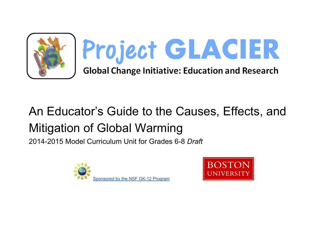

# An Educator's Guide to the Causes, Effects, and Mitigation of Global Warming

2014-2015 Model Curriculum Unit for Grades 6-8 *Draft*



Sponsored by the NSF GK-12 Program

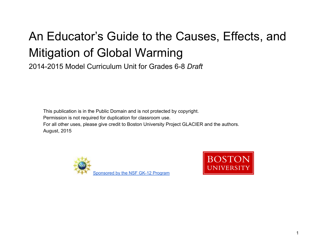# An Educator's Guide to the Causes, Effects, and Mitigation of Global Warming

2014-2015 Model Curriculum Unit for Grades 6-8 *Draft*

This publication is in the Public Domain and is not protected by copyright. Permission is not required for duplication for classroom use. For all other uses, please give credit to Boston University Project GLACIER and the authors. August, 2015



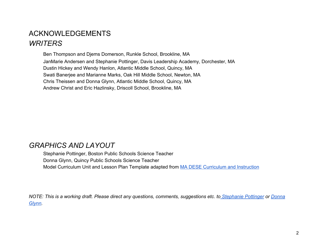## ACKNOWLEDGEMENTS *WRITERS*

Ben Thompson and Djems Domerson, Runkle School, Brookline, MA JanMarie Andersen and Stephanie Pottinger, Davis Leadership Academy, Dorchester, MA Dustin Hickey and Wendy Hanlon, Atlantic Middle School, Quincy, MA Swati Banerjee and Marianne Marks, Oak Hill Middle School, Newton, MA Chris Theissen and Donna Glynn, Atlantic Middle School, Quincy, MA Andrew Christ and Eric Hazlinsky, Driscoll School, Brookline, MA

## *GRAPHICS AND LAYOUT*

Stephanie Pottinger, Boston Public Schools Science Teacher Donna Glynn, Quincy Public Schools Science Teacher Model Curriculum Unit and Lesson Plan Template adapted from **MA DESE Curriculum and Instruction** 

*NOTE: This is a working draft. Please direct any questions, comments, suggestions etc. to Stephanie Pottinger or Donna Glynn.*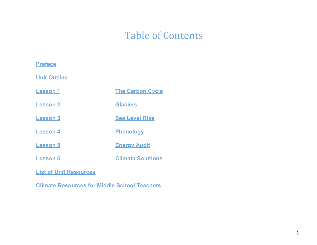## Table of Contents

## **Preface**

**Unit Outline**

**Lesson 1 The Carbon Cycle**

**Lesson 2 Glaciers**

**Lesson 3 Sea Level Rise**

**Lesson 4 Phenology**

- **Lesson 5 Energy Audit**
- **Lesson 6 Climate Solutions**

**List of Unit Resources**

**Climate Resources for Middle School Teachers**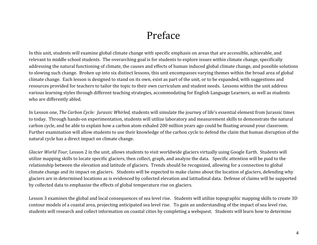## Preface

In this unit, students will examine global climate change with specific emphasis on areas that are accessible, achievable, and relevant to middle school students. The overarching goal is for students to explore issues within climate change, specifically addressing the natural functioning of climate, the causes and effects of human induced global climate change, and possible solutions to slowing such change. Broken up into six distinct lessons, this unit encompasses varying themes within the broad area of global climate change. Each lesson is designed to stand on its own, exist as part of the unit, or to be expanded, with suggestions and resources provided for teachers to tailor the topic to their own curriculum and student needs. Lessons within the unit address various learning styles through different teaching strategies, accommodating for English Language Learners, as well as students who are differently abled.

In Lesson one, The Carbon Cycle: Jurassic Whirled, students will simulate the journey of life's essential element from Jurassic times to today. Through hands-on experimentation, students will utilize laboratory and measurement skills to demonstrate the natural carbon cycle, and be able to explain how a carbon atom exhaled 200 million years ago could be floating around your classroom. Further examination will allow students to use their knowledge of the carbon cycle to defend the claim that human disruption of the natural cycle has a direct impact on climate change.

Glacier World Tour, Lesson 2 in the unit, allows students to visit worldwide glaciers virtually using Google Earth. Students will utilize mapping skills to locate specific glaciers, then collect, graph, and analyze the data. Specific attention will be paid to the relationship between the elevation and latitude of glaciers. Trends should be recognized, allowing for a connection to global climate change and its impact on glaciers. Students will be expected to make claims about the location of glaciers, defending why glaciers are in determined locations as is evidenced by collected elevation and latitudinal data. Defense of claims will be supported by collected data to emphasize the effects of global temperature rise on glaciers.

Lesson 3 examines the global and local consequences of sea level rise. Students will utilize topographic mapping skills to create 3D contour models of a coastal area, projecting anticipated sea level rise. To gain an understanding of the impact of sea level rise, students will research and collect information on coastal cities by completing a webquest. Students will learn how to determine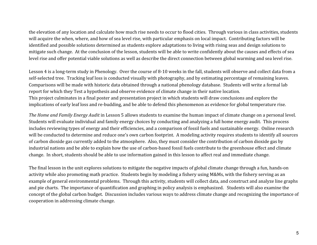the elevation of any location and calculate how much rise needs to occur to flood cities. Through various in class activities, students will acquire the when, where, and how of sea level rise, with particular emphasis on local impact. Contributing factors will be identified and possible solutions determined as students explore adaptations to living with rising seas and design solutions to mitigate such change. At the conclusion of the lesson, students will be able to write confidently about the causes and effects of sea level rise and offer potential viable solutions as well as describe the direct connection between global warming and sea level rise.

Lesson 4 is a long-term study in Phenology. Over the course of 8-10 weeks in the fall, students will observe and collect data from a self-selected tree. Tracking leaf loss is conducted visually with photography, and by estimating percentage of remaining leaves. Comparisons will be made with historic data obtained through a national phenology database. Students will write a formal lab report for which they Test a hypothesis and observe evidence of climate change in their native location. This project culminates in a final poster and presentation project in which students will draw conclusions and explore the implications of early leaf loss and re-budding, and be able to defend this phenomenon as evidence for global temperature rise.

The Home and Family Energy Audit in Lesson 5 allows students to examine the human impact of climate change on a personal level. Students will evaluate individual and family energy choices by conducting and analyzing a full home energy audit. This process includes reviewing types of energy and their efficiencies, and a comparison of fossil fuels and sustainable energy. Online research will be conducted to determine and reduce one's own carbon footprint. A modeling activity requires students to identify all sources of carbon dioxide gas currently added to the atmosphere. Also, they must consider the contribution of carbon dioxide gas by industrial nations and be able to explain how the use of carbon-based fossil fuels contribute to the greenhouse effect and climate change. In short, students should be able to use information gained in this lesson to affect real and immediate change.

The final lesson in the unit explores solutions to mitigate the negative impacts of global climate change through a fun, hands-on activity while also promoting math practice. Students begin by modeling a fishery using M&Ms, with the fishery serving as an example of general environmental problems. Through this activity, students will collect data, and construct and analyze line graphs and pie charts. The importance of quantification and graphing in policy analysis is emphasized. Students will also examine the concept of the global carbon budget. Discussion includes various ways to address climate change and recognizing the importance of cooperation in addressing climate change.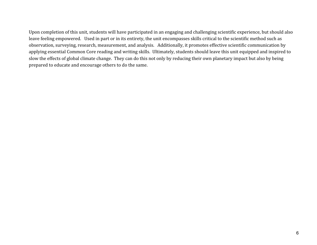Upon completion of this unit, students will have participated in an engaging and challenging scientific experience, but should also leave feeling empowered. Used in part or in its entirety, the unit encompasses skills critical to the scientific method such as observation, surveying, research, measurement, and analysis. Additionally, it promotes effective scientific communication by applying essential Common Core reading and writing skills. Ultimately, students should leave this unit equipped and inspired to slow the effects of global climate change. They can do this not only by reducing their own planetary impact but also by being prepared to educate and encourage others to do the same.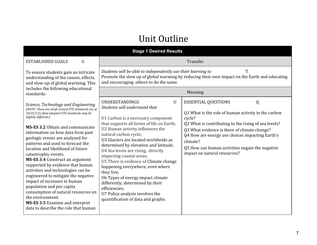## Unit Outline

#### **Stage 1 Desired Results**

ESTABLISHED GOALS G

To ensure students gain an intricate understanding of the causes, effects, and slow-up of global warming. This includes the following educat standards:

data to describe the role that

Students will be able to independently use their learning to T Promote the slow up of global warming by reducing their own impact on the Earth and educating and encouraging others to do the same.

Transfer

| includes the following educational<br>standards:                                                                                                                                                                                                                                                                                                                                                                                                                                                                                                                                                                                                                                                                                                        |                                                                                                                                                                                                                                                                                                                                                                                                                                                                                                                                                                                                                               | Meaning                                                                                                                                                                                                                                                                                                                                               |
|---------------------------------------------------------------------------------------------------------------------------------------------------------------------------------------------------------------------------------------------------------------------------------------------------------------------------------------------------------------------------------------------------------------------------------------------------------------------------------------------------------------------------------------------------------------------------------------------------------------------------------------------------------------------------------------------------------------------------------------------------------|-------------------------------------------------------------------------------------------------------------------------------------------------------------------------------------------------------------------------------------------------------------------------------------------------------------------------------------------------------------------------------------------------------------------------------------------------------------------------------------------------------------------------------------------------------------------------------------------------------------------------------|-------------------------------------------------------------------------------------------------------------------------------------------------------------------------------------------------------------------------------------------------------------------------------------------------------------------------------------------------------|
| Science, Technology and Engineering<br>[NOTE: These are draft revised STE standards (as of<br>10/22/13); final adopted STE standards may be<br>slightly different.]<br>MS-ES 3.2 Obtain and communicate<br>information on how data from past<br>geologic events are analyzed for<br>patterns and used to forecast the<br>location and likelihood of future<br>catastrophic events.<br><b>MS-ES 3.4 Construct an argument</b><br>supported by evidence that human<br>activities and technologies can be<br>engineered to mitigate the negative<br>impact of increases in human<br>population and per capita<br>consumption of natural resources on<br>the environment.<br><b>MS-ES 3.5</b> Examine and interpret<br>data to describe the role that human | <b>UNDERSTANDINGS</b><br>U<br>Students will understand that<br>U1 Carbon is a necessary component<br>that supports all forms of life on Earth;<br>U2 Human activity influences the<br>natural carbon cycle;<br>U3 Glaciers are located worldwide as<br>determined by elevation and latitude;<br>U4 Sea levels are rising, directly<br>impacting coastal areas;<br>U5 There is evidence of Climate change<br>happening everywhere, even where<br>they live;<br>U6 Types of energy impact climate<br>differently, determined by their<br>efficiencies;<br>U7 Policy analysis involves the<br>quantification of data and graphs. | <b>ESSENTIAL QUESTIONS</b><br>Q1 What is the role of human activity in the carbon<br>cycle?<br>Q2 What is contributing to the rising of sea levels?<br>Q3 What evidence is there of climate change?<br>Q4 How are energy use choices impacting Earth's<br>climate?<br>Q5 How can human activities negate the negative<br>impact on natural resources? |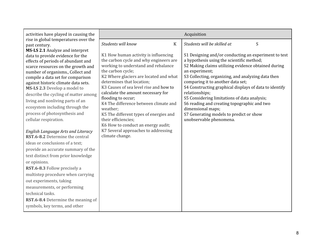| Acquisition                                                                                                                                                                                                                                                                                                                                                                                                                                                                                                                                                                                                                                                                                                                                                                                                                                                                                                                                                                                                                                                                                  | activities have played in causing the                                                                                                                                                                                                                                                                                                                                                                                                                                                                                                                                                                                                                                                                                                                                                                                                |
|----------------------------------------------------------------------------------------------------------------------------------------------------------------------------------------------------------------------------------------------------------------------------------------------------------------------------------------------------------------------------------------------------------------------------------------------------------------------------------------------------------------------------------------------------------------------------------------------------------------------------------------------------------------------------------------------------------------------------------------------------------------------------------------------------------------------------------------------------------------------------------------------------------------------------------------------------------------------------------------------------------------------------------------------------------------------------------------------|--------------------------------------------------------------------------------------------------------------------------------------------------------------------------------------------------------------------------------------------------------------------------------------------------------------------------------------------------------------------------------------------------------------------------------------------------------------------------------------------------------------------------------------------------------------------------------------------------------------------------------------------------------------------------------------------------------------------------------------------------------------------------------------------------------------------------------------|
| Students will know<br>Students will be skilled at<br>K                                                                                                                                                                                                                                                                                                                                                                                                                                                                                                                                                                                                                                                                                                                                                                                                                                                                                                                                                                                                                                       | rise in global temperatures over the<br>past century.                                                                                                                                                                                                                                                                                                                                                                                                                                                                                                                                                                                                                                                                                                                                                                                |
| K1 How human activity is influencing<br>S1 Designing and/or conducting an experiment to test<br>the carbon cycle and why engineers are<br>a hypothesis using the scientific method;<br>working to understand and rebalance<br>S2 Making claims utilizing evidence obtained during<br>the carbon cycle;<br>an experiment;<br>K2 Where glaciers are located and what<br>S3 Collecting, organizing, and analyzing data then<br>comparing it to another data set;<br>determines that location;<br>K3 Causes of sea level rise and how to<br>S4 Constructing graphical displays of data to identify<br>calculate the amount necessary for<br>relationships;<br>S5 Considering limitations of data analysis;<br>flooding to occur;<br>K4 The difference between climate and<br>S6 reading and creating topographic and two<br>weather;<br>dimensional maps;<br>S7 Generating models to predict or show<br>K5 The different types of energies and<br>unobservable phenomena.<br>their efficiencies;<br>K6 How to conduct an energy audit;<br>K7 Several approaches to addressing<br>climate change. | MS-LS 2.1 Analyze and interpret<br>data to provide evidence for the<br>effects of periods of abundant and<br>scarce resources on the growth and<br>number of organisms., Collect and<br>compile a data set for comparison<br>against historic climate data sets.<br>MS-LS 2.3 Develop a model to<br>describe the cycling of matter among<br>living and nonliving parts of an<br>ecosystem including through the<br>process of photosynthesis and<br>cellular respiration.<br>English Language Arts and Literacy<br>RST.6-8.2 Determine the central<br>ideas or conclusions of a text;<br>provide an accurate summary of the<br>text distinct from prior knowledge<br>or opinions.<br>RST.6-8.3 Follow precisely a<br>multistep procedure when carrying<br>out experiments, taking<br>measurements, or performing<br>technical tasks. |
|                                                                                                                                                                                                                                                                                                                                                                                                                                                                                                                                                                                                                                                                                                                                                                                                                                                                                                                                                                                                                                                                                              | <b>RST.6-8.4</b> Determine the meaning of<br>symbols, key terms, and other                                                                                                                                                                                                                                                                                                                                                                                                                                                                                                                                                                                                                                                                                                                                                           |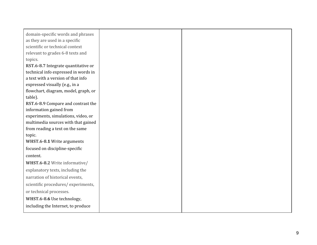| domain-specific words and phrases    |  |
|--------------------------------------|--|
| as they are used in a specific       |  |
| scientific or technical context      |  |
| relevant to grades 6-8 texts and     |  |
| topics.                              |  |
| RST.6-8.7 Integrate quantitative or  |  |
| technical info expressed in words in |  |
| a text with a version of that info   |  |
| expressed visually (e.g., in a       |  |
| flowchart, diagram, model, graph, or |  |
| table).                              |  |
| RST.6-8.9 Compare and contrast the   |  |
| information gained from              |  |
| experiments, simulations, video, or  |  |
| multimedia sources with that gained  |  |
| from reading a text on the same      |  |
| topic.                               |  |
| WHST.6-8.1 Write arguments           |  |
| focused on discipline-specific       |  |
| content.                             |  |
| WHST.6-8.2 Write informative/        |  |
| explanatory texts, including the     |  |
| narration of historical events,      |  |
| scientific procedures/experiments,   |  |
| or technical processes.              |  |
| WHST.6-8.6 Use technology,           |  |
| including the Internet, to produce   |  |
|                                      |  |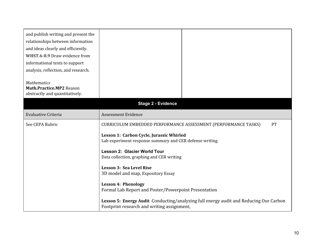| and publish writing and present the<br>relationships between information<br>and ideas clearly and efficiently.<br>WHST.6-8.9 Draw evidence from<br>informational texts to support<br>analysis, reflection, and research. |                                                                                                                                                                                                                                                                                                                                                                                                                                                                                                                                                                |  |  |
|--------------------------------------------------------------------------------------------------------------------------------------------------------------------------------------------------------------------------|----------------------------------------------------------------------------------------------------------------------------------------------------------------------------------------------------------------------------------------------------------------------------------------------------------------------------------------------------------------------------------------------------------------------------------------------------------------------------------------------------------------------------------------------------------------|--|--|
| <b>Mathematics</b><br>Math.Practice.MP2 Reason<br>abstractly and quantitatively.                                                                                                                                         |                                                                                                                                                                                                                                                                                                                                                                                                                                                                                                                                                                |  |  |
|                                                                                                                                                                                                                          | <b>Stage 2 - Evidence</b>                                                                                                                                                                                                                                                                                                                                                                                                                                                                                                                                      |  |  |
| <b>Evaluative Criteria</b>                                                                                                                                                                                               | <b>Assessment Evidence</b>                                                                                                                                                                                                                                                                                                                                                                                                                                                                                                                                     |  |  |
| See CEPA Rubric                                                                                                                                                                                                          | PT<br><b>CURRICULUM EMBEDDED PERFORMANCE ASSESSMENT (PERFORMANCE TASKS)</b><br>Lesson 1: Carbon Cycle, Jurassic Whirled<br>Lab experiment response summary and CER defense writing<br>Lesson 2: Glacier World Tour<br>Data collection, graphing and CER writing<br>Lesson 3: Sea Level Rise<br>3D model and map, Expository Essay<br><b>Lesson 4: Phenology</b><br>Formal Lab Report and Poster/Powerpoint Presentation<br>Lesson 5: Energy Audit Conducting/analyzing full energy audit and Reducing Our Carbon<br>Footprint research and writing assignment, |  |  |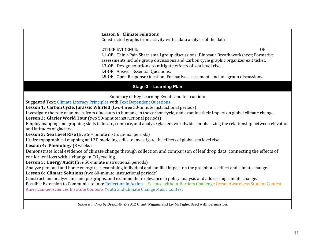|                                                                                                                                                                                                                                                                                                                                                                                                                                                                                                                                                                                                                                                                                                                                                                                                                                                                                                                                                                                                                                                                                                                                                                                                                                                                                                                                                                                                                                                                                                                                                                                                                                          | <b>Lesson 6: Climate Solutions</b><br>Constructed graphs from activity with a data analysis of the data                                                                                                                                                                                                                                                                                                          |  |  |  |
|------------------------------------------------------------------------------------------------------------------------------------------------------------------------------------------------------------------------------------------------------------------------------------------------------------------------------------------------------------------------------------------------------------------------------------------------------------------------------------------------------------------------------------------------------------------------------------------------------------------------------------------------------------------------------------------------------------------------------------------------------------------------------------------------------------------------------------------------------------------------------------------------------------------------------------------------------------------------------------------------------------------------------------------------------------------------------------------------------------------------------------------------------------------------------------------------------------------------------------------------------------------------------------------------------------------------------------------------------------------------------------------------------------------------------------------------------------------------------------------------------------------------------------------------------------------------------------------------------------------------------------------|------------------------------------------------------------------------------------------------------------------------------------------------------------------------------------------------------------------------------------------------------------------------------------------------------------------------------------------------------------------------------------------------------------------|--|--|--|
|                                                                                                                                                                                                                                                                                                                                                                                                                                                                                                                                                                                                                                                                                                                                                                                                                                                                                                                                                                                                                                                                                                                                                                                                                                                                                                                                                                                                                                                                                                                                                                                                                                          | <b>OE</b><br><b>OTHER EVIDENCE:</b><br>L1-OE: Think-Pair-Share small group discussions; Dinosaur Breath worksheet; Formative<br>assessments include group discussions and Carbon cycle graphic organizer exit ticket.<br>L3-OE: Design solutions to mitigate effects of sea level rise.<br>L4-OE: Answer Essential Questions.<br>L5-OE: Open Response Question; Formative assessments include group discussions. |  |  |  |
|                                                                                                                                                                                                                                                                                                                                                                                                                                                                                                                                                                                                                                                                                                                                                                                                                                                                                                                                                                                                                                                                                                                                                                                                                                                                                                                                                                                                                                                                                                                                                                                                                                          | <b>Stage 3 - Learning Plan</b>                                                                                                                                                                                                                                                                                                                                                                                   |  |  |  |
| Summary of Key Learning Events and Instruction:<br>Suggested Text: Climate Literacy Principles with Text Dependent Questions<br>Lesson 1: Carbon Cycle, Jurassic Whirled (two-three 50-minute instructional periods)<br>Investigate the role of animals, from dinosaurs to humans, in the carbon cycle, and examine their impact on global climate change.<br>Lesson 2: Glacier World Tour (two 50-minute instructional periods)<br>Employ mapping and graphing skills to locate, compare, and analyze glaciers worldwide, emphasizing the relationship between elevation<br>and latitudes of glaciers.<br>Lesson 3: Sea Level Rise (five 50-minute instructional periods)<br>Utilize topographical mapping and 3D modeling skills to investigate the effects of global sea level rise.<br><b>Lesson 4: Phenology</b> (8 weeks)<br>Demonstrate local evidence of climate change through collection and comparison of leaf drop data, connecting the effects of<br>earlier leaf loss with a change in $CO2$ cycling.<br>Lesson 5: Energy Audit (five 50-minute instructional periods)<br>Analyze personal and home energy use, examining individual and familial impact on the greenhouse effect and climate change.<br>Lesson 6: Climate Solutions (two 60-minute instructional periods)<br>Construct and analyze line and pie graphs, and examine their relevance in policy analysis and addressing climate change.<br>Possible Extension to Communicate Info: Reflection in Action Science without Borders Challenge Ocean Awareness Student Contest<br>American Geosciences Institute Contests Youth and Climate Change Music Contest |                                                                                                                                                                                                                                                                                                                                                                                                                  |  |  |  |
|                                                                                                                                                                                                                                                                                                                                                                                                                                                                                                                                                                                                                                                                                                                                                                                                                                                                                                                                                                                                                                                                                                                                                                                                                                                                                                                                                                                                                                                                                                                                                                                                                                          | Understanding by Design®. © 2012 Grant Wiggins and Jay McTighe. Used with permission.                                                                                                                                                                                                                                                                                                                            |  |  |  |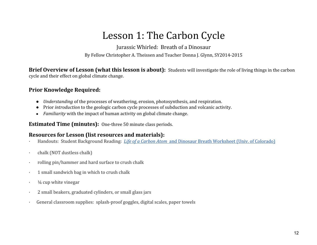## Lesson 1: The Carbon Cycle

Jurassic Whirled: Breath of a Dinosaur

By Fellow Christopher A. Theissen and Teacher Donna J. Glynn, SY2014-2015

Brief Overview of Lesson (what this lesson is about): Students will investigate the role of living things in the carbon cycle and their effect on global climate change.

## Prior Knowledge Required:

- Understanding of the processes of weathering, erosion, photosynthesis, and respiration.
- Prior introduction to the geologic carbon cycle processes of subduction and volcanic activity.
- Familiarity with the impact of human activity on global climate change.

Estimated Time (minutes): One-three 50 minute class periods.

## Resources for Lesson (list resources and materials):

- Handouts: Student Background Reading: *Life of a Carbon Atom* and Dinosaur Breath Worksheet (Univ. of Colorado)
- · chalk (NOT dustless chalk)
- rolling pin/hammer and hard surface to crush chalk
- · 1 small sandwich bag in which to crush chalk
- $\frac{1}{4}$  cup white vinegar
- · 2 small beakers, graduated cylinders, or small glass jars
- General classroom supplies: splash-proof goggles, digital scales, paper towels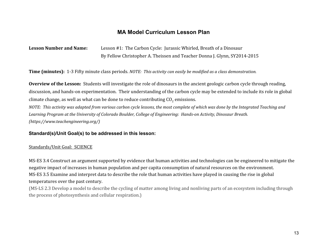## **MA Model Curriculum Lesson Plan**

Lesson Number and Name: Lesson #1: The Carbon Cycle: Jurassic Whirled, Breath of a Dinosaur By Fellow Christopher A. Theissen and Teacher Donna J. Glynn, SY2014-2015

Time (minutes): 1-3 Fifty minute class periods. NOTE: This activity can easily be modified as a class demonstration.

Overview of the Lesson: Students will investigate the role of dinosaurs in the ancient geologic carbon cycle through reading, discussion, and hands-on experimentation. Their understanding of the carbon cycle may be extended to include its role in global climate change, as well as what can be done to reduce contributing  $CO<sub>2</sub>$  emissions.

NOTE: This activity was adapted from various carbon cycle lessons, the most complete of which was done by the Integrated Teaching and Learning Program at the University of Colorado Boulder, College of Engineering: Hands-on Activity, Dinosaur Breath. (https://www.teachengineering.org/)

### **Standard(s)/Unit Goal(s) to be addressed in this lesson:**

#### Standards/Unit Goal: SCIENCE

MS-ES 3.4 Construct an argument supported by evidence that human activities and technologies can be engineered to mitigate the negative impact of increases in human population and per capita consumption of natural resources on the environment. MS-ES 3.5 Examine and interpret data to describe the role that human activities have played in causing the rise in global temperatures over the past century.

(MS-LS 2.3 Develop a model to describe the cycling of matter among living and nonliving parts of an ecosystem including through the process of photosynthesis and cellular respiration.)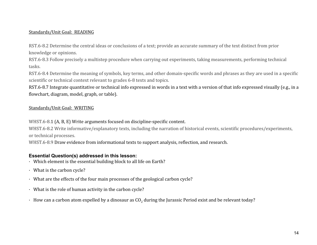### Standards/Unit Goal: READING

RST.6-8.2 Determine the central ideas or conclusions of a text; provide an accurate summary of the text distinct from prior knowledge or opinions.

RST.6-8.3 Follow precisely a multistep procedure when carrying out experiments, taking measurements, performing technical tasks.

RST.6-8.4 Determine the meaning of symbols, key terms, and other domain-specific words and phrases as they are used in a specific scientific or technical context relevant to grades 6-8 texts and topics.

RST.6-8.7 Integrate quantitative or technical info expressed in words in a text with a version of that info expressed visually (e.g., in a flowchart, diagram, model, graph, or table).

### Standards/Unit Goal: WRITING

WHST.6-8.1 (A, B, E) Write arguments focused on discipline-specific content.

WHST.6-8.2 Write informative/explanatory texts, including the narration of historical events, scientific procedures/experiments, or technical processes.

WHST.6-8.9 Draw evidence from informational texts to support analysis, reflection, and research.

## **Essential Question(s) addressed in this lesson:**

- · Which element is the essential building block to all life on Earth?
- · What is the carbon cycle?
- · What are the effects of the four main processes of the geological carbon cycle?
- · What is the role of human activity in the carbon cycle?
- $\cdot$  How can a carbon atom expelled by a dinosaur as CO<sub>2</sub> during the Jurassic Period exist and be relevant today?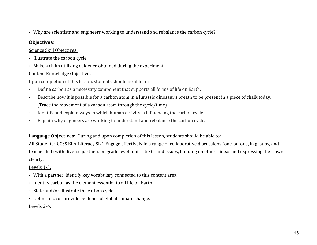· Why are scientists and engineers working to understand and rebalance the carbon cycle?

## **Objectives:**

## Science Skill Objectives:

- · Illustrate the carbon cycle
- · Make a claim utilizing evidence obtained during the experiment

## Content Knowledge Objectives:

Upon completion of this lesson, students should be able to:

- Define carbon as a necessary component that supports all forms of life on Earth.
- Describe how it is possible for a carbon atom in a Jurassic dinosaur's breath to be present in a piece of chalk today. (Trace the movement of a carbon atom through the cycle/time)
- Identify and explain ways in which human activity is influencing the carbon cycle.
- Explain why engineers are working to understand and rebalance the carbon cycle.

Language Objectives: During and upon completion of this lesson, students should be able to:

All Students: CCSS.ELA-Literacy.SL.1 Engage effectively in a range of collaborative discussions (one-on-one, in groups, and teacher-led) with diverse partners on grade level topics, texts, and issues, building on others' ideas and expressing their own clearly.

## Levels 1-3:

- · With a partner, identify key vocabulary connected to this content area.
- · Identify carbon as the element essential to all life on Earth.
- · State and/or illustrate the carbon cycle.
- · Define and/or provide evidence of global climate change.

## Levels 2-4: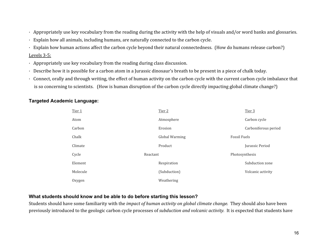- · Appropriately use key vocabulary from the reading during the activity with the help of visuals and/or word banks and glossaries.
- · Explain how all animals, including humans, are naturally connected to the carbon cycle.
- · Explain how human actions affect the carbon cycle beyond their natural connectedness. (How do humans release carbon?) Levels 3-5:
- · Appropriately use key vocabulary from the reading during class discussion.
- · Describe how it is possible for a carbon atom in a Jurassic dinosaur's breath to be present in a piece of chalk today.
- · Connect, orally and through writing, the effect of human activity on the carbon cycle with the current carbon cycle imbalance that is so concerning to scientists. (How is human disruption of the carbon cycle directly impacting global climate change?)

## **Targeted Academic Language:**

| Tier 1   | Tier 2                | Tier 3               |
|----------|-----------------------|----------------------|
| Atom     | Atmosphere            | Carbon cycle         |
| Carbon   | Erosion               | Carboniferous period |
| Chalk    | <b>Global Warming</b> | <b>Fossil Fuels</b>  |
| Climate  | Product               | Jurassic Period      |
| Cycle    | Reactant              | Photosynthesis       |
| Element  | Respiration           | Subduction zone      |
| Molecule | (Subduction)          | Volcanic activity    |
| Oxygen   | Weathering            |                      |

## **What students should know and be able to do before starting this lesson?**

Students should have some familiarity with the *impact of human activity on global climate change*. They should also have been previously introduced to the geologic carbon cycle processes of subduction and volcanic activity. It is expected that students have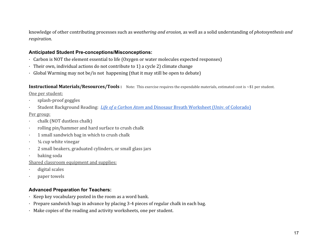knowledge of other contributing processes such as weathering and erosion, as well as a solid understanding of photosynthesis and respiration.

### **Anticipated Student Pre-conceptions/Misconceptions:**

- · Carbon is NOT the element essential to life (Oxygen or water molecules expected responses)
- · Their own, individual actions do not contribute to 1) a cycle 2) climate change
- · Global Warming may not be/is not happening (that it may still be open to debate)

**Instructional Materials/Resources/Tools:** Note: This exercise requires the expendable materials, estimated cost is  $\sim $1$  per student.

One per student:

- · splash-proof goggles
- Student Background Reading: Life of a Carbon Atom and Dinosaur Breath Worksheet (Univ. of Colorado)

### Per group:

- · chalk (NOT dustless chalk)
- rolling pin/hammer and hard surface to crush chalk
- · 1 small sandwich bag in which to crush chalk
- $\frac{1}{4}$  cup white vinegar
- · 2 small beakers, graduated cylinders, or small glass jars
- · baking soda
- Shared classroom equipment and supplies:
- digital scales
- paper towels

## **Advanced Preparation for Teachers:**

- · Keep key vocabulary posted in the room as a word bank.
- · Prepare sandwich bags in advance by placing 3-4 pieces of regular chalk in each bag.
- · Make copies of the reading and activity worksheets, one per student.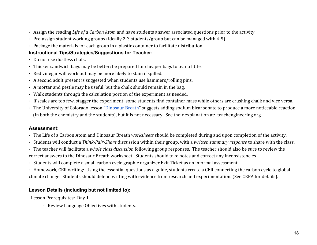- · Assign the reading Life of a Carbon Atom and have students answer associated questions prior to the activity.
- · Pre-assign student working groups (ideally 2-3 students/group but can be managed with 4-5)
- · Package the materials for each group in a plastic container to facilitate distribution.

## **Instructional Tips/Strategies/Suggestions for Teacher:**

- · Do not use dustless chalk.
- · Thicker sandwich bags may be better; be prepared for cheaper bags to tear a little.
- · Red vinegar will work but may be more likely to stain if spilled.
- · A second adult present is suggested when students use hammers/rolling pins.
- · A mortar and pestle may be useful, but the chalk should remain in the bag.
- · Walk students through the calculation portion of the experiment as needed.
- · If scales are too few, stagger the experiment: some students find container mass while others are crushing chalk and vice versa.
- · The University of Colorado lesson "Dinosaur Breath" suggests adding sodium bicarbonate to produce a more noticeable reaction (in both the chemistry and the students), but it is not necessary. See their explanation at: teachengineering.org.

## **Assessment:**

- · The Life of a Carbon Atom and Dinosaur Breath worksheets should be completed during and upon completion of the activity.
- · Students will conduct a Think-Pair-Share discussion within their group, with a written summary response to share with the class.
- · The teacher will facilitate a whole class discussion following group responses. The teacher should also be sure to review the correct answers to the Dinosaur Breath worksheet. Students should take notes and correct any inconsistencies.
- · Students will complete a small carbon cycle graphic organizer Exit Ticket as an informal assessment.
- · Homework, CER writing: Using the essential questions as a guide, students create a CER connecting the carbon cycle to global climate change. Students should defend writing with evidence from research and experimentation. (See CEPA for details).

## **Lesson Details (including but not limited to):**

Lesson Prerequisites: Day 1

· Review Language Objectives with students.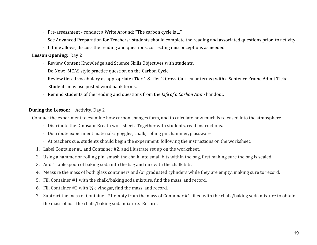- · Pre-assessment conduct a Write Around: "The carbon cycle is ..."
- · See Advanced Preparation for Teachers: students should complete the reading and associated questions prior to activity.
- · If time allows, discuss the reading and questions, correcting misconceptions as needed.

#### Lesson Opening: Day 2

- · Review Content Knowledge and Science Skills Objectives with students.
- · Do Now: MCAS style practice question on the Carbon Cycle
- · Review tiered vocabulary as appropriate (Tier 1 & Tier 2 Cross-Curricular terms) with a Sentence Frame Admit Ticket. Students may use posted word bank terms.
- · Remind students of the reading and questions from the Life of a Carbon Atom handout.

#### **During the Lesson:** Activity, Day 2

Conduct the experiment to examine how carbon changes form, and to calculate how much is released into the atmosphere.

- · Distribute the Dinosaur Breath worksheet. Together with students, read instructions.
- · Distribute experiment materials: goggles, chalk, rolling pin, hammer, glassware.
- · At teachers cue, students should begin the experiment, following the instructions on the worksheet:
- 1. Label Container #1 and Container #2, and illustrate set up on the worksheet.
- 2. Using a hammer or rolling pin, smash the chalk into small bits within the bag, first making sure the bag is sealed.
- 3. Add 1 tablespoon of baking soda into the bag and mix with the chalk bits.
- 4. Measure the mass of both glass containers and/or graduated cylinders while they are empty, making sure to record.
- 5. Fill Container #1 with the chalk/baking soda mixture, find the mass, and record.
- 6. Fill Container  $#2$  with  $\frac{1}{4}$  c vinegar, find the mass, and record.
- 7. Subtract the mass of Container #1 empty from the mass of Container #1 filled with the chalk/baking soda mixture to obtain the mass of just the chalk/baking soda mixture. Record.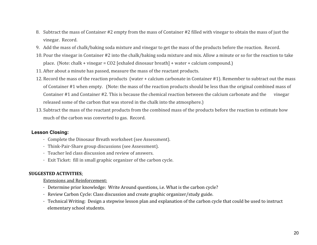- 8. Subtract the mass of Container #2 empty from the mass of Container #2 filled with vinegar to obtain the mass of just the vinegar. Record.
- 9. Add the mass of chalk/baking soda mixture and vinegar to get the mass of the products before the reaction. Record.
- 10. Pour the vinegar in Container #2 into the chalk/baking soda mixture and mix. Allow a minute or so for the reaction to take place. (Note: chalk + vinegar = CO2 [exhaled dinosaur breath] + water + calcium compound.)
- 11. After about a minute has passed, measure the mass of the reactant products.
- 12. Record the mass of the reaction products (water + calcium carbonate in Container #1). Remember to subtract out the mass of Container #1 when empty. (Note: the mass of the reaction products should be less than the original combined mass of Container #1 and Container #2. This is because the chemical reaction between the calcium carbonate and the vinegar released some of the carbon that was stored in the chalk into the atmosphere.)
- 13. Subtract the mass of the reactant products from the combined mass of the products before the reaction to estimate how much of the carbon was converted to gas. Record.

## **Lesson Closing:**

- · Complete the Dinosaur Breath worksheet (see Assessment).
- · Think-Pair-Share group discussions (see Assessment).
- · Teacher led class discussion and review of answers.
- · Exit Ticket: fill in small graphic organizer of the carbon cycle.

## SUGGESTED ACTIVITIES:

### Extensions and Reinforcement:

- · Determine prior knowledge: Write Around questions, i.e. What is the carbon cycle?
- · Review Carbon Cycle: Class discussion and create graphic organizer/study guide.
- · Technical Writing: Design a stepwise lesson plan and explanation of the carbon cycle that could be used to instruct elementary school students.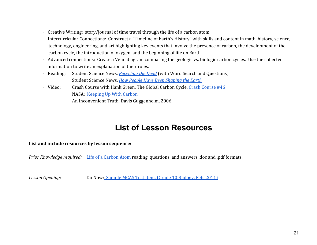- · Creative Writing: story/journal of time travel through the life of a carbon atom.
- · Intercurricular Connections: Construct a "Timeline of Earth's History" with skills and content in math, history, science, technology, engineering, and art highlighting key events that involve the presence of carbon, the development of the carbon cycle, the introduction of oxygen, and the beginning of life on Earth.
- · Advanced connections: Create a Venn diagram comparing the geologic vs. biologic carbon cycles. Use the collected information to write an explanation of their roles.
- · Reading: Student Science News, Recycling the Dead (with Word Search and Questions) Student Science News, How People Have Been Shaping the Earth
- · Video: Crash Course with Hank Green, The Global Carbon Cycle, Crash Course #46 NASA: Keeping Up With Carbon An Inconvenient Truth, Davis Guggenheim, 2006.

## **List of Lesson Resources**

## List and include resources by lesson sequence:

Prior Knowledge required: Life of a Carbon Atom reading, questions, and answers .doc and .pdf formats.

Lesson Opening: Do Now: Sample MCAS Test Item, (Grade 10 Biology, Feb. 2011)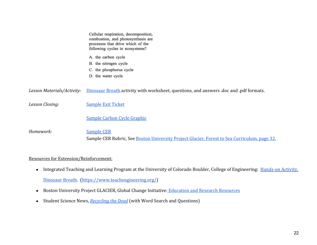|                            | Cellular respiration, decomposition,<br>combustion, and photosynthesis are<br>processes that drive which of the<br>following cycles in ecosystems? |
|----------------------------|----------------------------------------------------------------------------------------------------------------------------------------------------|
|                            | A. the carbon cycle<br>B. the nitrogen cycle<br>C. the phosphorus cycle<br>D. the water cycle                                                      |
| Lesson Materials/Activity: | Dinosaur Breath activity with worksheet, questions, and answers doc and pdf formats.                                                               |
| Lesson Closing:            | <b>Sample Exit Ticket</b>                                                                                                                          |
|                            | Sample Carbon Cycle Graphic                                                                                                                        |
| Homework:                  | <b>Sample CER</b><br>Sample CER Rubric, See Boston University Project Glacier, Forest to Sea Curriculum, page 32.                                  |

## Resources for Extension/Reinforcement:

- Integrated Teaching and Learning Program at the University of Colorado Boulder, College of Engineering: Hands-on Activity, Dinosaur Breath. (https://www.teachengineering.org/)
- Boston University Project GLACIER, Global Change Initiative: Education and Research Resources
- Student Science News, Recycling the Dead (with Word Search and Questions)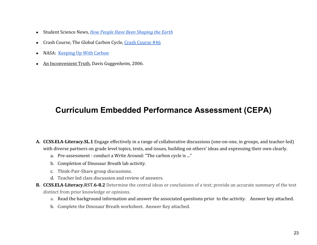- Student Science News, How People Have Been Shaping the Earth
- Crash Course, The Global Carbon Cycle, Crash Course #46
- NASA: Keeping Up With Carbon
- An Inconvenient Truth, Davis Guggenheim, 2006.

## **Curriculum Embedded Performance Assessment (CEPA)**

- A. CCSS.ELA-Literacy.SL.1 Engage effectively in a range of collaborative discussions (one-on-one, in groups, and teacher-led) with diverse partners on grade level topics, texts, and issues, building on others' ideas and expressing their own clearly.
	- a. Pre-assessment conduct a Write Around: "The carbon cycle is ..."
	- b. Completion of Dinosaur Breath lab activity.
	- c. Think-Pair-Share group discussions.
	- d. Teacher led class discussion and review of answers.
- B. CCSS.ELA-Literacy.RST.6-8.2 Determine the central ideas or conclusions of a text; provide an accurate summary of the text distinct from prior knowledge or opinions.
	- a. Read the background information and answer the associated questions prior to the activity. Answer key attached.
	- b. Complete the Dinosaur Breath worksheet. Answer Key attached.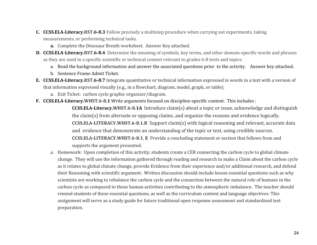- C. CCSS.ELA-Literacy.RST.6-8.3 Follow precisely a multistep procedure when carrying out experiments, taking measurements, or performing technical tasks.
	- a. Complete the Dinosaur Breath worksheet. Answer Key attached.
- D. CCSS.ELA-Literacy.RST.6-8.4 Determine the meaning of symbols, key terms, and other domain-specific words and phrases as they are used in a specific scientific or technical context relevant to grades 6-8 texts and topics.
	- a. Read the background information and answer the associated questions prior to the activity. Answer key attached.
	- b. Sentence Frame Admit Ticket.
- E. CCSS.ELA-Literacy.RST.6-8.7 Integrate quantitative or technical information expressed in words in a text with a version of that information expressed visually (e.g., in a flowchart, diagram, model, graph, or table).
	- a. Exit Ticket: carbon cycle graphic organizer/diagram.
- F. CCSS.ELA-Literacy.WHST.6-8.1 Write arguments focused on discipline-specific content. This includes :

CCSS.ELA-Literacy.WHST.6-8.1A Introduce claim(s) about a topic or issue, acknowledge and distinguish the claim(s) from alternate or opposing claims, and organize the reasons and evidence logically. CCSS.ELA-LITERACY.WHST.6-8.1.B Support claim(s) with logical reasoning and relevant, accurate data and evidence that demonstrate an understanding of the topic or text, using credible sources. CCSS.ELA-LITERACY.WHST.6-8.1. E Provide a concluding statement or section that follows from and supports the argument presented.

a. Homework: Upon completion of this activity, students create a CER connecting the carbon cycle to global climate change. They will use the information gathered through reading and research to make a Claim about the carbon cycle as it relates to global climate change, provide Evidence from their experience and/or additional research, and defend their Reasoning with scientific argument. Written discussion should include lesson essential questions such as why scientists are working to rebalance the carbon cycle and the connection between the natural role of humans in the carbon cycle as compared to those human activities contributing to the atmospheric imbalance. The teacher should remind students of these essential questions, as well as the curriculum content and language objectives. This assignment will serve as a study guide for future traditional open response assessment and standardized test preparation.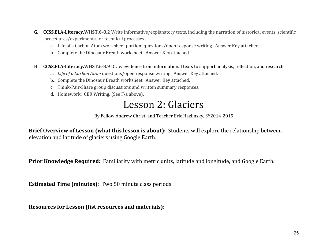- G. CCSS.ELA-Literacy.WHST.6-8.2 Write informative/explanatory texts, including the narration of historical events, scientific procedures/experiments, or technical processes.
	- a. Life of a Carbon Atom worksheet portion: questions/open response writing. Answer Key attached.
	- b. Complete the Dinosaur Breath worksheet. Answer Key attached.
- H. CCSS.ELA-Literacy.WHST.6-8.9 Draw evidence from informational texts to support analysis, reflection, and research.
	- a. Life of a Carbon Atom questions/open response writing. Answer Key attached.
	- b. Complete the Dinosaur Breath worksheet. Answer Key attached.
	- c. Think-Pair-Share group discussions and written summary responses.
	- d. Homework: CER Writing. (See F-a above).

## Lesson 2: Glaciers

By Fellow Andrew Christ and Teacher Eric Hazlinsky, SY2014-2015

Brief Overview of Lesson (what this lesson is about): Students will explore the relationship between elevation and latitude of glaciers using Google Earth.

Prior Knowledge Required: Familiarity with metric units, latitude and longitude, and Google Earth.

Estimated Time (minutes): Two 50 minute class periods.

Resources for Lesson (list resources and materials):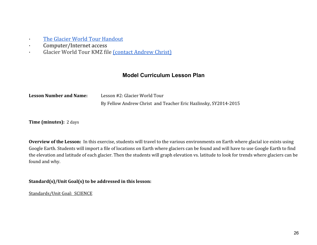- · The Glacier World Tour Handout
- · Computer/Internet access
- · Glacier World Tour KMZ file (contact Andrew Christ)

## **Model Curriculum Lesson Plan**

| <b>Lesson Number and Name:</b> | Lesson #2: Glacier World Tour                                   |
|--------------------------------|-----------------------------------------------------------------|
|                                | By Fellow Andrew Christ and Teacher Eric Hazlinsky, SY2014-2015 |

Time (minutes): 2 days

Overview of the Lesson: In this exercise, students will travel to the various environments on Earth where glacial ice exists using Google Earth. Students will import a file of locations on Earth where glaciers can be found and will have to use Google Earth to find the elevation and latitude of each glacier. Then the students will graph elevation vs. latitude to look for trends where glaciers can be found and why.

Standard(s)/Unit Goal(s) to be addressed in this lesson:

Standards/Unit Goal: SCIENCE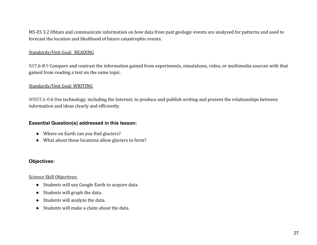MS-ES 3.2 Obtain and communicate information on how data from past geologic events are analyzed for patterns and used to forecast the location and likelihood of future catastrophic events.

### Standards/Unit Goal: READING

RST.6-8.9 Compare and contrast the information gained from experiments, simulations, video, or multimedia sources with that gained from reading a text on the same topic.

#### Standards/Unit Goal: WRITING

WHST.6-8.6 Use technology, including the Internet, to produce and publish writing and present the relationships between information and ideas clearly and efficiently.

#### **Essential Question(s) addressed in this lesson:**

- Where on Earth can you find glaciers?
- What about these locations allow glaciers to form?

#### **Objectives:**

#### Science Skill Objectives:

- Students will use Google Earth to acquire data.
- Students will graph the data.
- Students will analyze the data.
- Students will make a claim about the data.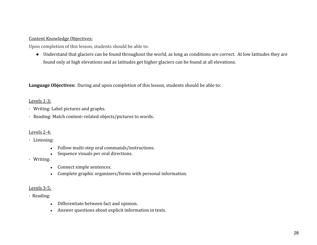#### Content Knowledge Objectives:

Upon completion of this lesson, students should be able to:

● Understand that glaciers can be found throughout the world, as long as conditions are correct. At low latitudes they are found only at high elevations and as latitudes get higher glaciers can be found at all elevations.

Language Objectives: During and upon completion of this lesson, students should be able to:

#### Levels 1-3:

- · Writing: Label pictures and graphs.
- · Reading: Match content–related objects/pictures to words.

#### Levels 2-4:

- · Listening:
	- Follow multi-step oral commands/instructions.
	- Sequence visuals per oral directions.
- · Writing:
	- Connect simple sentences.
	- Complete graphic organizers/forms with personal information.

#### Levels 3-5:

- · Reading:
	- Differentiate between fact and opinion.
	- Answer questions about explicit information in texts.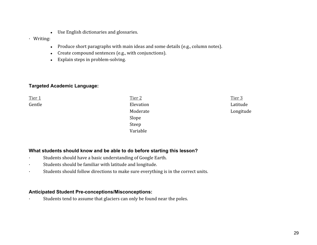- Use English dictionaries and glossaries.
- · Writing:
	- Produce short paragraphs with main ideas and some details (e.g., column notes).
	- Create compound sentences (e.g., with conjunctions).
	- Explain steps in problem-solving.

## **Targeted Academic Language:**

Tier 1 Tier 2 Tier 2 Tier 2 Tier 2 Tier 3 Tier 3 Tier 3 Tier 3 Tier 3 Tier 3 Tier 3 Tier 3 Tier 3 Tier 3 Tier 3 Gentle Elevation Latitude Moderate **Longitude** Slope Steep Variable

## **What students should know and be able to do before starting this lesson?**

- Students should have a basic understanding of Google Earth.
- · Students should be familiar with latitude and longitude.
- · Students should follow directions to make sure everything is in the correct units.

### **Anticipated Student Pre-conceptions/Misconceptions:**

· Students tend to assume that glaciers can only be found near the poles.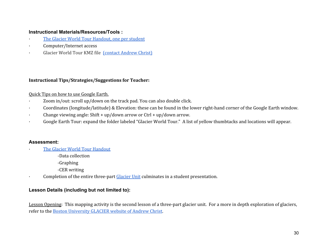### **Instructional Materials/Resources/Tools :**

- The Glacier World Tour Handout, one per student
- · Computer/Internet access
- Glacier World Tour KMZ file (contact Andrew Christ)

#### Instructional Tips/Strategies/Suggestions for Teacher:

#### Quick Tips on how to use Google Earth.

- · Zoom in/out: scroll up/down on the track pad. You can also double click.
- · Coordinates (longitude/latitude) & Elevation: these can be found in the lower right-hand corner of the Google Earth window.
- Change viewing angle: Shift + up/down arrow or Ctrl + up/down arrow.
- Google Earth Tour: expand the folder labeled "Glacier World Tour." A list of yellow thumbtacks and locations will appear.

### **Assessment:**

- The Glacier World Tour Handout
	- -Data collection
	- -Graphing
	- -CER writing
- Completion of the entire three-part Glacier Unit culminates in a student presentation.

### **Lesson Details (including but not limited to):**

Lesson Opening: This mapping activity is the second lesson of a three-part glacier unit. For a more in depth exploration of glaciers, refer to the Boston University GLACIER website of Andrew Christ.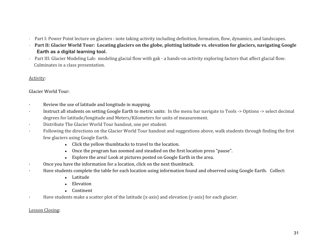- Part I: Power Point lecture on glaciers : note taking activity including definition, formation, flow, dynamics, and landscapes.
- Part II: Glacier World Tour: Locating glaciers on the globe, plotting latitude vs. elevation for glaciers, navigating Google  **Earth as a digital learning tool.**
- Part III: Glacier Modeling Lab: modeling glacial flow with gak a hands-on activity exploring factors that affect glacial flow. Culminates in a class presentation.

#### Activity:

## Glacier World Tour:

- Review the use of latitude and longitude in mapping.
- Instruct all students on setting Google Earth to metric units: In the menu bar navigate to Tools -> Options -> select decimal degrees for latitude/longitude and Meters/Kilometers for units of measurement.
- Distribute The Glacier World Tour handout, one per student.
- Following the directions on the Glacier World Tour handout and suggestions above, walk students through finding the first few glaciers using Google Earth.
	- Click the yellow thumbtacks to travel to the location.
	- Once the program has zoomed and steadied on the first location press "pause".
	- Explore the area! Look at pictures posted on Google Earth in the area.
- Once you have the information for a location, click on the next thumbtack.
- · Have students complete the table for each location using information found and observed using Google Earth. Collect:
	- Latitude
	- Elevation
	- Continent
- Have students make a scatter plot of the latitude (x-axis) and elevation (y-axis) for each glacier.

## Lesson Closing: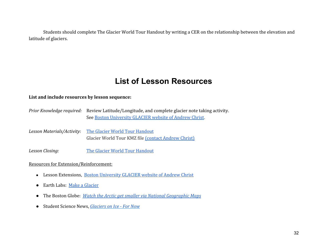Students should complete The Glacier World Tour Handout by writing a CER on the relationship between the elevation and latitude of glaciers.

## **List of Lesson Resources**

#### List and include resources by lesson sequence:

- Prior Knowledge required: Review Latitude/Longitude, and complete glacier note taking activity. See Boston University GLACIER website of Andrew Christ.
- Lesson Materials/Activity: The Glacier World Tour Handout Glacier World Tour KMZ file (contact Andrew Christ)

Lesson Closing: The Glacier World Tour Handout

#### Resources for Extension/Reinforcement:

- Lesson Extensions, Boston University GLACIER website of Andrew Christ
- Earth Labs: Make a Glacier
- The Boston Globe: *Watch the Arctic get smaller via National Geographic Maps*
- Student Science News, *Glaciers on Ice For Now*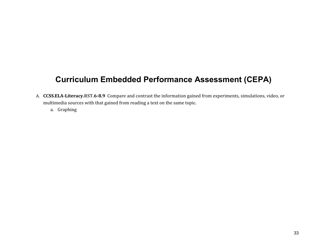## **Curriculum Embedded Performance Assessment (CEPA)**

- A. CCSS.ELA-Literacy.RST.6-8.9 Compare and contrast the information gained from experiments, simulations, video, or multimedia sources with that gained from reading a text on the same topic.
	- a. Graphing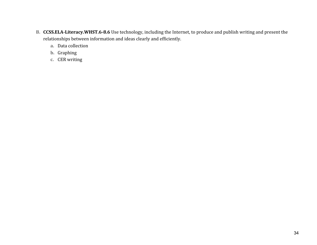- B. CCSS.ELA-Literacy.WHST.6-8.6 Use technology, including the Internet, to produce and publish writing and present the relationships between information and ideas clearly and efficiently.
	- a. Data collection
	- b. Graphing
	- c. CER writing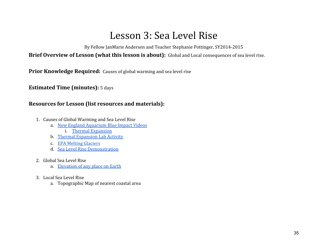## Lesson 3: Sea Level Rise

By Fellow JanMarie Andersen and Teacher Stephanie Pottinger, SY2014-2015

Brief Overview of Lesson (what this lesson is about): Global and Local consequences of sea level rise.

Prior Knowledge Required: Causes of global warming and sea level rise

Estimated Time (minutes): 5 days

## Resources for Lesson (list resources and materials):

- 1. Causes of Global Warming and Sea Level Rise
	- a. New England Aquarium Blue Impact Videos
		- i. Thermal Expansion
	- b. Thermal Expansion Lab Activity
	- c. EPA Melting Glaciers
	- d. Sea Level Rise Demonstration
- 2. Global Sea Level Rise
	- a. Elevation of any place on Earth
- 3. Local Sea Level Rise
	- a. Topographic Map of nearest coastal area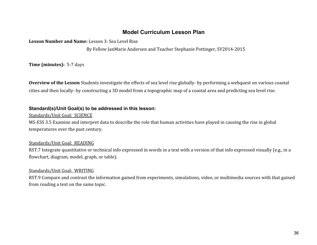## **Model Curriculum Lesson Plan**

Lesson Number and Name: Lesson 3: Sea Level Rise

By Fellow JanMarie Andersen and Teacher Stephanie Pottinger, SY2014-2015

Time (minutes): 5-7 days

Overview of the Lesson Students investigate the effects of sea level rise globally- by performing a webquest on various coastal cities and then locally- by constructing a 3D model from a topographic map of a coastal area and predicting sea level rise.

### **Standard(s)/Unit Goal(s) to be addressed in this lesson:**

Standards/Unit Goal: SCIENCE

MS-ESS 3.5 Examine and interpret data to describe the role that human activities have played in causing the rise in global temperatures over the past century.

## Standards/Unit Goal: READING

RST.7 Integrate quantitative or technical info expressed in words in a text with a version of that info expressed visually (e.g., in a flowchart, diagram, model, graph, or table).

### Standards/Unit Goal: WRITING

RST.9 Compare and contrast the information gained from experiments, simulations, video, or multimedia sources with that gained from reading a text on the same topic.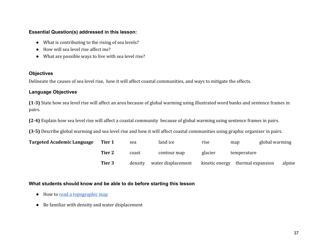### **Essential Question(s) addressed in this lesson:**

- What is contributing to the rising of sea levels?
- How will sea level rise affect me?
- What are possible ways to live with sea level rise?

### **Objectives**

Delineate the causes of sea level rise, how it will affect coastal communities, and ways to mitigate the effects.

## **Language Objectives**

(1-3) State how sea level rise will affect an area because of global warming using illustrated word banks and sentence frames in pairs.

(2-4) Explain how sea level rise will affect a coastal community because of global warming using sentence frames in pairs.

(3-5) Describe global warming and sea level rise and how it will affect coastal communities using graphic organizer in pairs.

| <b>Targeted Academic Language</b> | Tier 1        | sea     | land ice           | rise           | map               | global warming |        |
|-----------------------------------|---------------|---------|--------------------|----------------|-------------------|----------------|--------|
|                                   | <b>Tier 2</b> | coast   | contour map        | glacier        | temperature       |                |        |
|                                   | Tier 3        | density | water displacement | kinetic energy | thermal expansion |                | alpine |

## **What students should know and be able to do before starting this lesson**

- How to read a topographic map
- Be familiar with density and water displacement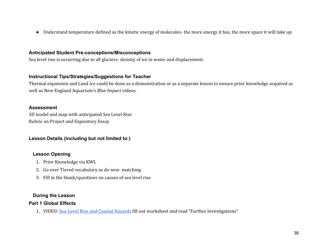● Understand temperature defined as the kinetic energy of molecules- the more energy it has, the more space it will take up

### **Anticipated Student Pre-conceptions/Misconceptions**

Sea level rise is occurring due to all glaciers- density of ice in water and displacement.

### **Instructional Tips/Strategies/Suggestions for Teacher**

Thermal expansion and Land Ice could be done as a demonstration or as a separate lesson to ensure prior knowledge acquired as well as New England Aquarium's Blue Impact videos.

### **Assessment**

3D model and map with anticipated Sea Level Rise Rubric on Project and Expository Essay

## **Lesson Details (including but not limited to:)**

## **Lesson Opening**

- 1. Prior Knowledge via KWL
- 2. Go over Tiered vocabulary as do now- matching
- 3. Fill in the blank/questions on causes of sea level rise

## **During the Lesson**

## **Part 1 Global Effects**

1. VIDEO: Sea-Level Rise and Coastal Hazards fill out worksheet and read "Further Investigations"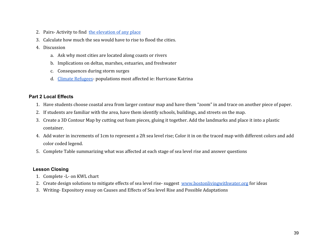- 2. Pairs-Activity to find the elevation of any place
- 3. Calculate how much the sea would have to rise to flood the cities.
- 4. Discussion
	- a. Ask why most cities are located along coasts or rivers
	- b. Implications on deltas, marshes, estuaries, and freshwater
	- c. Consequences during storm surges
	- d. Climate Refugees- populations most affected ie: Hurricane Katrina

### **Part 2 Local Effects**

- 1. Have students choose coastal area from larger contour map and have them "zoom" in and trace on another piece of paper.
- 2. If students are familiar with the area, have them identify schools, buildings, and streets on the map.
- 3. Create a 3D Contour Map by cutting out foam pieces, gluing it together. Add the landmarks and place it into a plastic container.
- 4. Add water in increments of 1cm to represent a 2ft sea level rise; Color it in on the traced map with different colors and add color coded legend.
- 5. Complete Table summarizing what was affected at each stage of sea level rise and answer questions

## **Lesson Closing**

- 1. Complete -L- on KWL chart
- 2. Create design solutions to mitigate effects of sea level rise-suggest www.bostonlivingwithwater.org for ideas
- 3. Writing- Expository essay on Causes and Effects of Sea level Rise and Possible Adaptations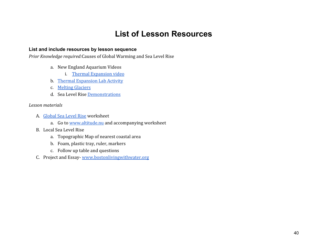## **List of Lesson Resources**

#### **List and include resources by lesson sequence**

Prior Knowledge required:Causes of Global Warming and Sea Level Rise

- a. New England Aquarium Videos
	- i. Thermal Expansion video
- b. Thermal Expansion Lab Activity
- c. Melting Glaciers
- d. Sea Level Rise Demonstrations

#### Lesson materials

- A. Global Sea Level Rise worksheet
	- a. Go to www.altitude.nu and accompanying worksheet
- B. Local Sea Level Rise
	- a. Topographic Map of nearest coastal area
	- b. Foam, plastic tray, ruler, markers
	- c. Follow up table and questions
- C. Project and Essay- www.bostonlivingwithwater.org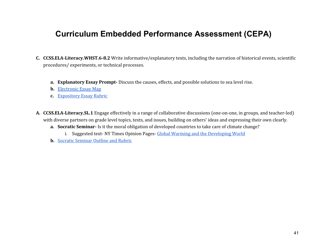## **Curriculum Embedded Performance Assessment (CEPA)**

- C. CCSS.ELA-Literacy.WHST.6-8.2 Write informative/explanatory texts, including the narration of historical events, scientific procedures/ experiments, or technical processes.
	- a. Explanatory Essay Prompt-Discuss the causes, effects, and possible solutions to sea level rise.
	- b. Electronic Essay Map
	- c. Expository Essay Rubric
- A. CCSS.ELA-Literacy.SL.1 Engage effectively in a range of collaborative discussions (one-on-one, in groups, and teacher-led) with diverse partners on grade level topics, texts, and issues, building on others' ideas and expressing their own clearly.
	- a. Socratic Seminar- Is it the moral obligation of developed countries to take care of climate change?
		- i. Suggested text- NY Times Opinion Pages- Global Warming and the Developing World
	- b. Socratic Seminar Outline and Rubric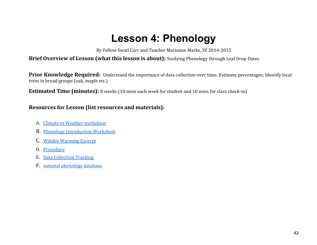## **Lesson 4: Phenology**

By Fellow Swati Carr and Teacher Marianne Marks, SY 2014-2015

## Brief Overview of Lesson (what this lesson is about): Studying Phenology through Leaf Drop Dates

Prior Knowledge Required: Understand the importance of data collection over time; Estimate percentages; Identify local trees in broad groups (oak, maple etc.)

**Estimated Time (minutes):** 8 weeks (10 mins each week for student and 10 mins for class check-in)

## Resources for Lesson (list resources and materials):

- A. Climate vs Weather worksheet
- B. Phenology Introduction Worksheet
- C. Walden Warming Excerpt
- D. Procedure
- E. Data Collection Tracking
- F. national phenology database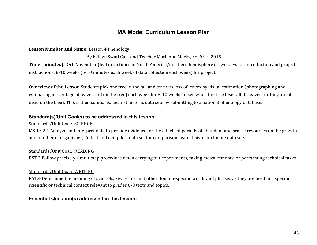## **MA Model Curriculum Lesson Plan**

#### Lesson Number and Name: Lesson 4 Phenology

#### By Fellow Swati Carr and Teacher Marianne Marks, SY 2014-2015

Time (minutes): Oct-November (leaf drop times in North America/northern hemisphere)- Two days for introduction and project instructions; 8-10 weeks (5-10 minutes each week of data collection each week) for project.

Overview of the Lesson Students pick one tree in the fall and track its loss of leaves by visual estimation (photographing and estimating percentage of leaves still on the tree) each week for 8-10 weeks to see when the tree loses all its leaves (or they are all dead on the tree). This is then compared against historic data sets by submitting to a national phenology database.

#### **Standard(s)/Unit Goal(s) to be addressed in this lesson:**

#### Standards/Unit Goal: SCIENCE

MS-LS 2.1 Analyze and interpret data to provide evidence for the effects of periods of abundant and scarce resources on the growth and number of organisms., Collect and compile a data set for comparison against historic climate data sets.

#### Standards/Unit Goal: READING

RST.3 Follow precisely a multistep procedure when carrying out experiments, taking measurements, or performing technical tasks.

#### Standards/Unit Goal: WRITING

RST.4 Determine the meaning of symbols, key terms, and other domain-specific words and phrases as they are used in a specific scientific or technical context relevant to grades 6-8 texts and topics.

### **Essential Question(s) addressed in this lesson:**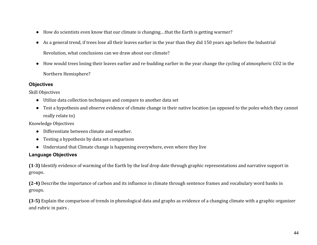- How do scientists even know that our climate is changing…that the Earth is getting warmer?
- As a general trend, if trees lose all their leaves earlier in the year than they did 150 years ago before the Industrial Revolution, what conclusions can we draw about our climate?
- How would trees losing their leaves earlier and re-budding earlier in the year change the cycling of atmospheric CO2 in the Northern Hemisphere?

### **Objectives**

Skill Objectives

- Utilize data collection techniques and compare to another data set
- Test a hypothesis and observe evidence of climate change in their native location (as opposed to the poles which they cannot really relate to)

Knowledge Objectives

- Differentiate between climate and weather.
- Testing a hypothesis by data set comparison
- Understand that Climate change is happening everywhere, even where they live

## **Language Objectives**

(1-3) Identify evidence of warming of the Earth by the leaf drop date through graphic representations and narrative support in groups.

(2-4) Describe the importance of carbon and its influence in climate through sentence frames and vocabulary word banks in groups.

(3-5) Explain the comparison of trends in phenological data and graphs as evidence of a changing climate with a graphic organizer and rubric in pairs .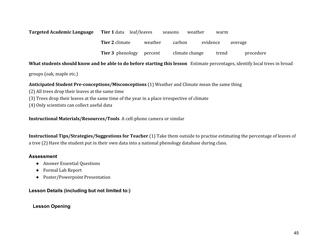| Targeted Academic Language | <b>Tier 1</b> data leaf/leaves |         | weather<br>seasons | warm     |           |
|----------------------------|--------------------------------|---------|--------------------|----------|-----------|
|                            | <b>Tier 2 climate</b>          | weather | carbon             | evidence | average   |
|                            | <b>Tier 3</b> phenology        | percent | climate change     | trend    | procedure |

#### What students should know and be able to do before starting this lesson Estimate percentages, identify local trees in broad

groups (oak, maple etc.)

#### Anticipated Student Pre-conceptions/Misconceptions (1) Weather and Climate mean the same thing

- (2) All trees drop their leaves at the same time
- (3) Trees drop their leaves at the same time of the year in a place irrespective of climate
- (4) Only scientists can collect useful data

Instructional Materials/Resources/Tools A cell-phone camera or similar

Instructional Tips/Strategies/Suggestions for Teacher (1) Take them outside to practise estimating the percentage of leaves of a tree (2) Have the student put in their own data into a national phenology database during class.

#### **Assessment**

- Answer Essential Questions
- Formal Lab Report
- Poster/Powerpoint Presentation

## **Lesson Details (including but not limited to:)**

## **Lesson Opening**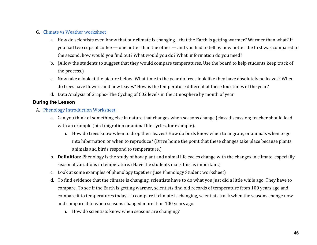#### G. Climate vs Weather worksheet

- a. How do scientists even know that our climate is changing…that the Earth is getting warmer? Warmer than what? If you had two cups of coffee — one hotter than the other — and you had to tell by how hotter the first was compared to the second, how would you find out? What would you do? What information do you need?
- b. (Allow the students to suggest that they would compare temperatures. Use the board to help students keep track of the process.)
- c. Now take a look at the picture below. What time in the year do trees look like they have absolutely no leaves? When do trees have flowers and new leaves? How is the temperature different at these four times of the year?
- d. Data Analysis of Graphs- The Cycling of C02 levels in the atmosphere by month of year

#### **During the Lesson**

- A. Phenology Introduction Worksheet
	- a. Can you think of something else in nature that changes when seasons change (class discussion; teacher should lead with an example (bird migration or animal life cycles, for example).
		- i. How do trees know when to drop their leaves? How do birds know when to migrate, or animals when to go into hibernation or when to reproduce? (Drive home the point that these changes take place because plants, animals and birds respond to temperature.)
	- b. Definition: Phenology is the study of how plant and animal life cycles change with the changes in climate, especially seasonal variations in temperature. (Have the students mark this as important.)
	- c. Look at some examples of phenology together (use Phenology Student worksheet)
	- d. To find evidence that the climate is changing, scientists have to do what you just did a little while ago. They have to compare. To see if the Earth is getting warmer, scientists find old records of temperature from 100 years ago and compare it to temperatures today. To compare if climate is changing, scientists track when the seasons change now and compare it to when seasons changed more than 100 years ago.
		- i. How do scientists know when seasons are changing?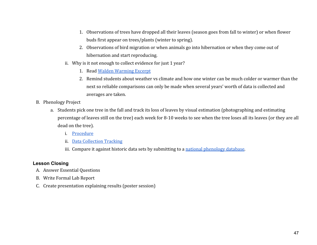- 1. Observations of trees have dropped all their leaves (season goes from fall to winter) or when flower buds first appear on trees/plants (winter to spring).
- 2. Observations of bird migration or when animals go into hibernation or when they come out of hibernation and start reproducing.
- ii. Why is it not enough to collect evidence for just 1 year?
	- 1. Read Walden Warming Excerpt
	- 2. Remind students about weather vs climate and how one winter can be much colder or warmer than the next so reliable comparisons can only be made when several years' worth of data is collected and averages are taken.
- B. Phenology Project
	- a. Students pick one tree in the fall and track its loss of leaves by visual estimation (photographing and estimating percentage of leaves still on the tree) each week for 8-10 weeks to see when the tree loses all its leaves (or they are all dead on the tree).
		- i. Procedure
		- ii. Data Collection Tracking
		- iii. Compare it against historic data sets by submitting to a national phenology database.

### **Lesson Closing**

- A. Answer Essential Questions
- B. Write Formal Lab Report
- C. Create presentation explaining results (poster session)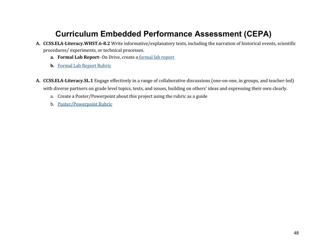## **Curriculum Embedded Performance Assessment (CEPA)**

- A. CCSS.ELA-Literacy.WHST.6-8.2 Write informative/explanatory texts, including the narration of historical events, scientific procedures/ experiments, or technical processes.
	- a. Formal Lab Report- On Drive, create a formal lab report
	- b. Formal Lab Report Rubric
- A. CCSS.ELA-Literacy.SL.1 Engage effectively in a range of collaborative discussions (one-on-one, in groups, and teacher-led) with diverse partners on grade level topics, texts, and issues, building on others' ideas and expressing their own clearly.
	- a. Create a Poster/Powerpoint about this project using the rubric as a guide
	- b. Poster/Powerpoint Rubric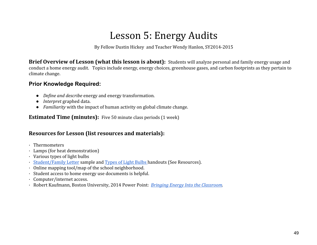## Lesson 5: Energy Audits

By Fellow Dustin Hickey and Teacher Wendy Hanlon, SY2014-2015

Brief Overview of Lesson (what this lesson is about): Students will analyze personal and family energy usage and conduct a home energy audit. Topics include energy, energy choices, greenhouse gases, and carbon footprints as they pertain to climate change.

## **Prior Knowledge Required:**

- Define and describe energy and energy transformation.
- *Interpret* graphed data.
- Familiarity with the impact of human activity on global climate change.

Estimated Time (minutes): Five 50 minute class periods (1 week)

## Resources for Lesson (list resources and materials):

- · Thermometers
- · Lamps (for heat demonstration)
- · Various types of light bulbs
- · Student/Family Letter sample and Types of Light Bulbs handouts (See Resources).
- · Online mapping tool/map of the school neighborhood.
- · Student access to home energy use documents is helpful.
- · Computer/internet access.
- · Robert Kaufmann, Boston University, 2014 Power Point: Bringing Energy Into the Classroom.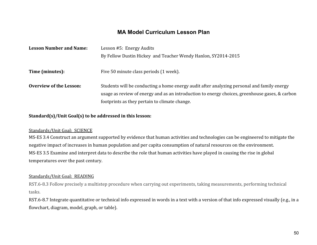## **MA Model Curriculum Lesson Plan**

| <b>Lesson Number and Name:</b> | Lesson #5: Energy Audits                                                                                                                                                                                                                      |  |  |
|--------------------------------|-----------------------------------------------------------------------------------------------------------------------------------------------------------------------------------------------------------------------------------------------|--|--|
|                                | By Fellow Dustin Hickey and Teacher Wendy Hanlon, SY2014-2015                                                                                                                                                                                 |  |  |
| Time (minutes):                | Five 50 minute class periods (1 week).                                                                                                                                                                                                        |  |  |
| <b>Overview of the Lesson:</b> | Students will be conducting a home energy audit after analyzing personal and family energy<br>usage as review of energy and as an introduction to energy choices, greenhouse gases, & carbon<br>footprints as they pertain to climate change. |  |  |

#### Standard(s)/Unit Goal(s) to be addressed in this lesson:

#### Standards/Unit Goal: SCIENCE

MS-ES 3.4 Construct an argument supported by evidence that human activities and technologies can be engineered to mitigate the negative impact of increases in human population and per capita consumption of natural resources on the environment. MS-ES 3.5 Examine and interpret data to describe the role that human activities have played in causing the rise in global temperatures over the past century.

#### Standards/Unit Goal: READING

RST.6-8.3 Follow precisely a multistep procedure when carrying out experiments, taking measurements, performing technical tasks.

RST.6-8.7 Integrate quantitative or technical info expressed in words in a text with a version of that info expressed visually (e.g., in a flowchart, diagram, model, graph, or table).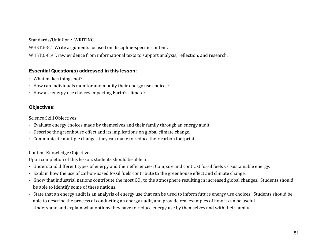#### Standards/Unit Goal: WRITING

WHST.6-8.1 Write arguments focused on discipline-specific content.

WHST.6-8.9 Draw evidence from informational texts to support analysis, reflection, and research.

### **Essential Question(s) addressed in this lesson:**

- · What makes things hot?
- · How can individuals monitor and modify their energy use choices?
- · How are energy use choices impacting Earth's climate?

## **Objectives:**

### Science Skill Objectives:

- · Evaluate energy choices made by themselves and their family through an energy audit.
- · Describe the greenhouse effect and its implications on global climate change.
- · Communicate multiple changes they can make to reduce their carbon footprint.

## Content Knowledge Objectives:

Upon completion of this lesson, students should be able to:

- · Understand different types of energy and their efficiencies: Compare and contrast fossil fuels vs. sustainable energy.
- · Explain how the use of carbon-based fossil fuels contribute to the greenhouse effect and climate change.
- $\cdot$  Know that industrial nations contribute the most CO<sub>2</sub> to the atmosphere resulting in increased global changes. Students should be able to identify some of these nations.
- · State that an energy audit is an analysis of energy use that can be used to inform future energy use choices. Students should be able to describe the process of conducting an energy audit, and provide real examples of how it can be useful.
- · Understand and explain what options they have to reduce energy use by themselves and with their family.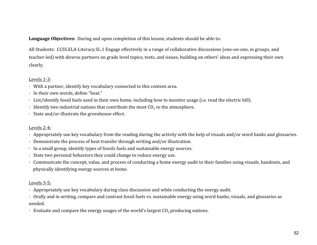Language Objectives: During and upon completion of this lesson, students should be able to:

All Students: CCSS.ELA-Literacy.SL.1 Engage effectively in a range of collaborative discussions (one-on-one, in groups, and teacher-led) with diverse partners on grade level topics, texts, and issues, building on others' ideas and expressing their own clearly.

### Levels 1-3:

- · With a partner, identify key vocabulary connected to this content area.
- · In their own words, define "heat."
- · List/identify fossil fuels used in their own home, including how to monitor usage (i.e. read the electric bill).
- · Identify two industrial nations that contribute the most  $CO<sub>2</sub>$  to the atmosphere.
- · State and/or illustrate the greenhouse effect.

## Levels 2-4:

- · Appropriately use key vocabulary from the reading during the activity with the help of visuals and/or word banks and glossaries.
- · Demonstrate the process of heat transfer through writing and/or illustration.
- · In a small group, identify types of fossils fuels and sustainable energy sources.
- · State two personal behaviors they could change to reduce energy use.
- · Communicate the concept, value, and process of conducting a home energy audit to their families using visuals, handouts, and physically identifying energy sources at home.

## Levels 3-5:

- · Appropriately use key vocabulary during class discussion and while conducting the energy audit.
- · Orally and in writing, compare and contrast fossil fuels vs. sustainable energy using word banks, visuals, and glossaries as needed.
- $\cdot$  Evaluate and compare the energy usages of the world's largest  $CO<sub>2</sub>$  producing nations.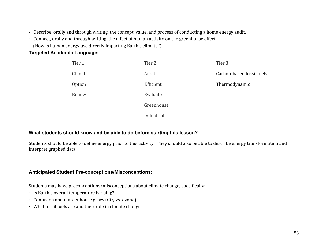- · Describe, orally and through writing, the concept, value, and process of conducting a home energy audit.
- · Connect, orally and through writing, the affect of human activity on the greenhouse effect.
	- (How is human energy use directly impacting Earth's climate?)

## **Targeted Academic Language:**

| Tier 1  | Tier 2     | Tier 3                    |
|---------|------------|---------------------------|
| Climate | Audit      | Carbon-based fossil fuels |
| Option  | Efficient  | Thermodynamic             |
| Renew   | Evaluate   |                           |
|         | Greenhouse |                           |
|         | Industrial |                           |

## **What students should know and be able to do before starting this lesson?**

Students should be able to define energy prior to this activity. They should also be able to describe energy transformation and interpret graphed data.

## **Anticipated Student Pre-conceptions/Misconceptions:**

Students may have preconceptions/misconceptions about climate change, specifically:

- · Is Earth's overall temperature is rising?
- $\cdot$  Confusion about greenhouse gases (CO<sub>2</sub> vs. ozone)
- · What fossil fuels are and their role in climate change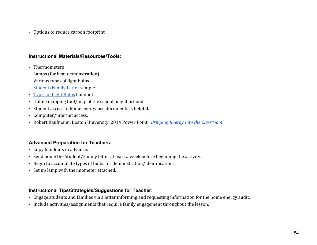· Options to reduce carbon footprint

#### **Instructional Materials/Resources/Tools:**

- · Thermometers
- · Lamps (for heat demonstration)
- · Various types of light bulbs
- · Student/Family Letter sample
- · Types of Light Bulbs handout
- · Online mapping tool/map of the school neighborhood.
- · Student access to home energy use documents is helpful.
- · Computer/internet access.
- · Robert Kaufmann, Boston University, 2014 Power Point: Bringing Energy Into the Classroom

## **Advanced Preparation for Teachers:**

- · Copy handouts in advance.
- · Send home the Student/Family letter at least a week before beginning the activity.
- · Begin to accumulate types of bulbs for demonstration/identification.
- · Set up lamp with thermometer attached.

## **Instructional Tips/Strategies/Suggestions for Teacher:**

- · Engage students and families via a letter informing and requesting information for the home energy audit.
- · Include activities/assignments that require family engagement throughout the lesson.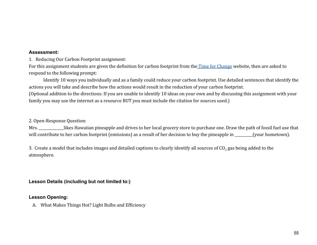#### **Assessment:**

1. Reducing Our Carbon Footprint assignment:

For this assignment students are given the definition for carbon footprint from the Time for Change website, then are asked to respond to the following prompt:

Identify 10 ways you individually and as a family could reduce your carbon footprint. Use detailed sentences that identify the actions you will take and describe how the actions would result in the reduction of your carbon footprint.

(Optional addition to the directions: If you are unable to identify 10 ideas on your own and by discussing this assignment with your family you may use the internet as a resource BUT you must include the citation for sources used.)

#### 2. Open-Response Question:

Mrs. \_\_\_\_\_\_\_\_\_\_\_\_likes Hawaiian pineapple and drives to her local grocery store to purchase one. Draw the path of fossil fuel use that will contribute to her carbon footprint (emissions) as a result of her decision to buy the pineapple in \_\_\_\_\_\_\_(your hometown).

3. Create a model that includes images and detailed captions to clearly identify all sources of  $CO<sub>2</sub>$  gas being added to the atmosphere.

#### **Lesson Details (including but not limited to:)**

#### **Lesson Opening:**

A. What Makes Things Hot? Light Bulbs and Efficiency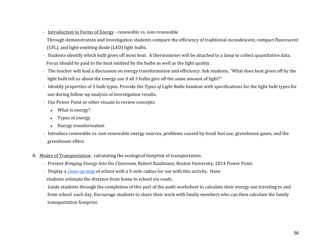· Introduction to Forms of Energy - renewable vs. non-renewable Through demonstration and investigation students compare the efficiency of traditional incandescent, compact fluorescent (CFL), and light-emitting diode (LED) light bulbs.

- · Students identify which bulb gives off most heat. A thermometer will be attached to a lamp to collect quantitative data. Focus should be paid to the heat emitted by the bulbs as well as the light quality.
- · The teacher will lead a discussion on energy transformation and efficiency. Ask students, "What does heat given off by the light bulb tell us about the energy use if all 3 bulbs give off the same amount of light?"
- · Identify properties of 3 bulb types. Provide the Types of Light Bulbs handout with specifications for the light bulb types for use during follow-up analysis of investigation results.
- · Use Power Point or other visuals to review concepts:
	- What is energy?
	- Types of energy
	- Energy transformation
- · Introduce renewable vs. non-renewable energy sources, problems caused by fossil fuel use, greenhouse gases, and the greenhouse effect.
- B. Modes of Transportation: calculating the ecological footprint of transportation.
	- · Present Bringing Energy Into the Classroom, Robert Kaufmann, Boston University, 2014 Power Point.
	- · Display a close-up map of school with a 5-mile radius for use with this activity. Have students estimate the distance from home to school via roads.
	- · Guide students through the completion of this part of the audit worksheet to calculate their energy use traveling to and from school each day. Encourage students to share their work with family members who can then calculate the family transportation footprint.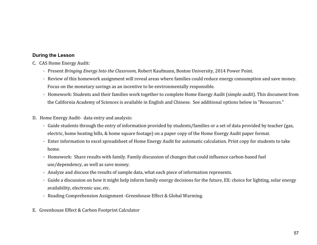### **During the Lesson**

- C. CAS Home Energy Audit:
	- · Present Bringing Energy Into the Classroom, Robert Kaufmann, Boston University, 2014 Power Point.
	- · Review of this homework assignment will reveal areas where families could reduce energy consumption and save money. Focus on the monetary savings as an incentive to be environmentally responsible.
	- · Homework: Students and their families work together to complete Home Energy Audit (simple audit). This document from the California Academy of Sciences is available in English and Chinese. See additional options below in "Resources."
- D. Home Energy Audit- data entry and analysis:
	- · Guide students through the entry of information provided by students/families or a set of data provided by teacher (gas, electric, home heating bills, & home square footage) on a paper copy of the Home Energy Audit paper format.
	- · Enter information to excel spreadsheet of Home Energy Audit for automatic calculation. Print copy for students to take home.
	- · Homework: Share results with family. Family discussion of changes that could influence carbon-based fuel use/dependency, as well as save money.
	- · Analyze and discuss the results of sample data, what each piece of information represents.
	- · Guide a discussion on how it might help inform family energy decisions for the future, EX: choice for lighting, solar energy availability, electronic use, etc.
	- · Reading Comprehension Assignment -Greenhouse Effect & Global Warming.
- E. Greenhouse Effect & Carbon Footprint Calculator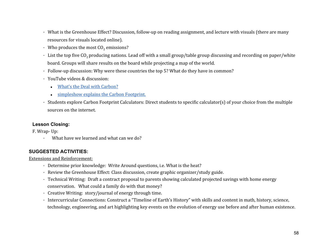- · What is the Greenhouse Effect? Discussion, follow-up on reading assignment, and lecture with visuals (there are many resources for visuals located online).
- Who produces the most  $CO<sub>2</sub>$  emissions?
- $\cdot$  List the top five CO<sub>2</sub> producing nations. Lead off with a small group/table group discussing and recording on paper/white board. Groups will share results on the board while projecting a map of the world.
- · Follow-up discussion: Why were these countries the top 5? What do they have in common?
- · YouTube videos & discussion:
	- What's the Deal with Carbon?
	- simpleshow explains the Carbon Footprint.

· Students explore Carbon Footprint Calculators: Direct students to specific calculator(s) of your choice from the multiple sources on the internet.

## **Lesson Closing:**

F. Wrap- Up:

· What have we learned and what can we do?

## **SUGGESTED ACTIVITIES:**

Extensions and Reinforcement:

- · Determine prior knowledge: Write Around questions, i.e. What is the heat?
- · Review the Greenhouse Effect: Class discussion, create graphic organizer/study guide.
- · Technical Writing: Draft a contract proposal to parents showing calculated projected savings with home energy conservation. What could a family do with that money?
- · Creative Writing: story/journal of energy through time.
- · Intercurricular Connections: Construct a "Timeline of Earth's History" with skills and content in math, history, science, technology, engineering, and art highlighting key events on the evolution of energy use before and after human existence.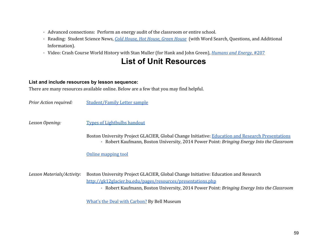- · Advanced connections: Perform an energy audit of the classroom or entire school.
- · Reading: Student Science News, Cold House, Hot House, Green House (with Word Search, Questions, and Additional Information).
- · Video: Crash Course World History with Stan Muller (for Hank and John Green), Humans and Energy, #207

## **List of Unit Resources**

#### **List and include resources by lesson sequence:**

There are many resources available online. Below are a few that you may find helpful.

Prior Action required: Student/Family Letter sample

Lesson Opening: Types of Lightbulbs handout

Boston University Project GLACIER, Global Change Initiative: Education and Research Presentations · Robert Kaufmann, Boston University, 2014 Power Point: Bringing Energy Into the Classroom

Online mapping tool

Lesson Materials/Activity: Boston University Project GLACIER, Global Change Initiative: Education and Research http://gk12glacier.bu.edu/pages/resources/presentations.php · Robert Kaufmann, Boston University, 2014 Power Point: Bringing Energy Into the Classroom

What's the Deal with Carbon? By Bell Museum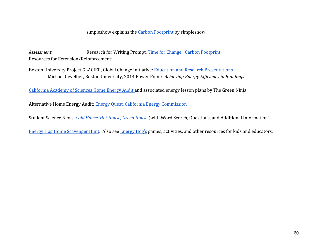#### simpleshow explains the Carbon Footprint by simpleshow

Assessment: Research for Writing Prompt, Time for Change: Carbon Footprint Resources for Extension/Reinforcement:

Boston University Project GLACIER, Global Change Initiative: Education and Research Presentations · Michael Gevelber, Boston University, 2014 Power Point: Achieving Energy Efficiency in Buildings

California Academy of Sciences Home Energy Audit and associated energy lesson plans by The Green Ninja

Alternative Home Energy Audit: Energy Quest, California Energy Commission

Student Science News, Cold House, Hot House, Green House (with Word Search, Questions, and Additional Information).

Energy Hog Home Scavenger Hunt. Also see Energy Hog's games, activities, and other resources for kids and educators.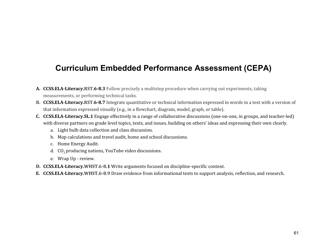## **Curriculum Embedded Performance Assessment (CEPA)**

- A. CCSS.ELA-Literacy.RST.6-8.3 Follow precisely a multistep procedure when carrying out experiments, taking measurements, or performing technical tasks.
- B. CCSS.ELA-Literacy.RST.6-8.7 Integrate quantitative or technical information expressed in words in a text with a version of that information expressed visually (e.g., in a flowchart, diagram, model, graph, or table).
- C. CCSS.ELA-Literacy.SL.1 Engage effectively in a range of collaborative discussions (one-on-one, in groups, and teacher-led) with diverse partners on grade level topics, texts, and issues, building on others' ideas and expressing their own clearly.
	- a. Light bulb data collection and class discussion.
	- b. Map calculations and travel audit, home and school discussions.
	- c. Home Energy Audit.
	- d.  $CO<sub>2</sub>$  producing nations, YouTube video discussions.
	- e. Wrap Up review.
- D. CCSS.ELA-Literacy.WHST.6-8.1 Write arguments focused on discipline-specific content.
- E. CCSS.ELA-Literacy.WHST.6-8.9 Draw evidence from informational texts to support analysis, reflection, and research.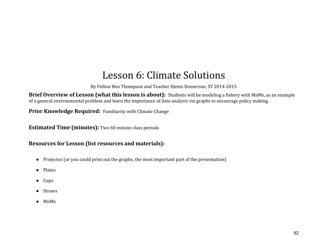## Lesson 6: Climate Solutions

By Fellow Ben Thompson and Teacher Djems Domerson, SY 2014-2015

Brief Overview of Lesson (what this lesson is about): Students will be modeling a fishery with MnMs, as an example of a general environmental problem and learn the importance of data analysis via graphs to encourage policy making.

Prior Knowledge Required: Familiarity with Climate Change

Estimated Time (minutes): Two 60 minute class periods

## Resources for Lesson (list resources and materials):

- Projector (or you could print out the graphs, the most important part of the presentation)
- Plates
- Cups
- Straws
- MnMs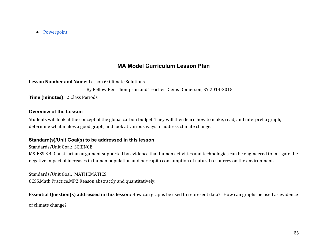● Powerpoint

## **MA Model Curriculum Lesson Plan**

Lesson Number and Name: Lesson 6: Climate Solutions

By Fellow Ben Thompson and Teacher Djems Domerson, SY 2014-2015

Time (minutes): 2 Class Periods

### **Overview of the Lesson**

Students will look at the concept of the global carbon budget. They will then learn how to make, read, and interpret a graph, determine what makes a good graph, and look at various ways to address climate change.

## **Standard(s)/Unit Goal(s) to be addressed in this lesson:**

### Standards/Unit Goal: SCIENCE

MS-ESS 3.4 Construct an argument supported by evidence that human activities and technologies can be engineered to mitigate the negative impact of increases in human population and per capita consumption of natural resources on the environment.

Standards/Unit Goal: MATHEMATICS

CCSS.Math.Practice.MP2 Reason abstractly and quantitatively.

## Essential Question(s) addressed in this lesson: How can graphs be used to represent data? How can graphs be used as evidence

of climate change?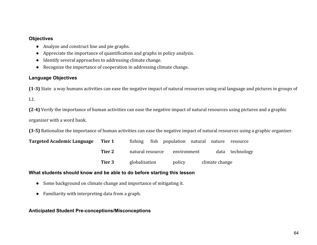#### **Objectives**

- Analyze and construct line and pie graphs.
- Appreciate the importance of quantification and graphs in policy analysis.
- Identify several approaches to addressing climate change.
- Recognize the importance of cooperation in addressing climate change.

## **Language Objectives**

(1-3) State a way humans activities can ease the negative impact of natural resources using oral language and pictures in groups of L1.

(2-4) Verify the importance of human activities can ease the negative impact of natural resources using pictures and a graphic organizer with a word bank.

(3-5) Rationalize the importance of human activities can ease the negative impact of natural resources using a graphic organizer.

| <b>Targeted Academic Language</b> | Tier 1 | fishing          | fish | population natural |             | nature         | resource   |
|-----------------------------------|--------|------------------|------|--------------------|-------------|----------------|------------|
|                                   | Tier 2 | natural resource |      |                    | environment |                | technology |
|                                   | Tier 3 | globalization    |      | policy             |             | climate change |            |

## **What students should know and be able to do before starting this lesson**

- Some background on climate change and importance of mitigating it.
- Familiarity with interpreting data from a graph.

## **Anticipated Student Pre-conceptions/Misconceptions**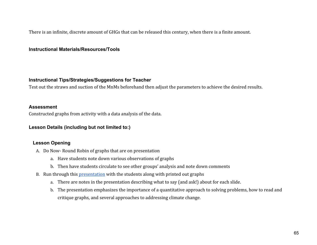There is an infinite, discrete amount of GHGs that can be released this century, when there is a finite amount.

#### **Instructional Materials/Resources/Tools**

#### **Instructional Tips/Strategies/Suggestions for Teacher**

Test out the straws and suction of the MnMs beforehand then adjust the parameters to achieve the desired results.

#### **Assessment**

Constructed graphs from activity with a data analysis of the data.

### **Lesson Details (including but not limited to:)**

### **Lesson Opening**

- A. Do Now- Round Robin of graphs that are on presentation
	- a. Have students note down various observations of graphs
	- b. Then have students circulate to see other groups' analysis and note down comments
- B. Run through this presentation with the students along with printed out graphs
	- a. There are notes in the presentation describing what to say (and ask!) about for each slide.
	- b. The presentation emphasizes the importance of a quantitative approach to solving problems, how to read and critique graphs, and several approaches to addressing climate change.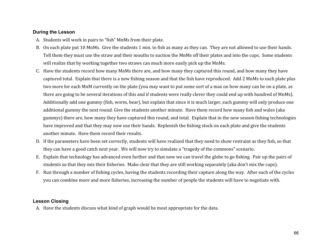#### **During the Lesson**

- A. Students will work in pairs to "fish" MnMs from their plate.
- B. On each plate put 10 MnMs. Give the students 1 min. to fish as many as they can. They are not allowed to use their hands. Tell them they must use the straw and their mouths to suction the MnMs off their plates and into the cups. Some students will realize that by working together two straws can much more easily pick up the MnMs.
- C. Have the students record how many MnMs there are, and how many they captured this round, and how many they have captured total. Explain that there is a new fishing season and that the fish have reproduced. Add 2 MnMs to each plate plus two more for each MnM currently on the plate (you may want to put some sort of a max on how many can be on a plate, as there are going to be several iterations of this and if students were really clever they could end up with hundred of MnMs). Additionally add one gummy (fish, worm, bear), but explain that since it is much larger, each gummy will only produce one additional gummy the next round. Give the students another minute. Have them record how many fish and wales (aka gummys) there are, how many they have captured this round, and total. Explain that in the new season fishing technologies have improved and that they may now use their hands. Replenish the fishing stock on each plate and give the students another minute. Have them record their results.
- D. If the parameters have been set correctly, students will have realized that they need to show restraint as they fish, so that they can have a good catch next year. We will now try to simulate a "tragedy of the commons" scenario.
- E. Explain that technology has advanced even further and that now we can travel the globe to go fishing. Pair up the pairs of students so that they mix their fisheries. Make clear that they are still working separately (aka don't mix the cups).
- F. Run through a number of fishing cycles, having the students recording their capture along the way. After each of the cycles you can combine more and more fisheries, increasing the number of people the students will have to negotiate with.

### **Lesson Closing**

A. Have the students discuss what kind of graph would be most appropriate for the data.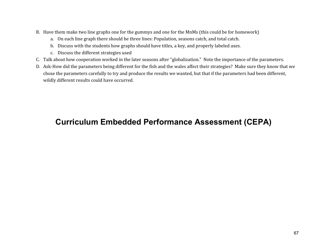- B. Have them make two line graphs one for the gummys and one for the MnMs (this could be for homework)
	- a. On each line graph there should be three lines: Population, seasons catch, and total catch.
	- b. Discuss with the students how graphs should have titles, a key, and properly labeled axes.
	- c. Discuss the different strategies used
- C. Talk about how cooperation worked in the later seasons after "globalization." Note the importance of the parameters.
- D. Ask-How did the parameters being different for the fish and the wales affect their strategies? Make sure they know that we chose the parameters carefully to try and produce the results we wanted, but that if the parameters had been different, wildly different results could have occurred.

## **Curriculum Embedded Performance Assessment (CEPA)**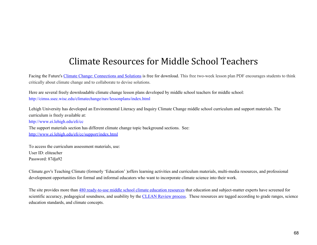## Climate Resources for Middle School Teachers

Facing the Future's Climate Change: Connections and Solutions is free for download. This free two-week lesson plan PDF encourages students to think critically about climate change and to collaborate to devise solutions.

Here are several freely downloadable climate change lesson plans developed by middle school teachers for middle school: http://cimss.ssec.wisc.edu/climatechange/nav/lessonplans/index.html

Lehigh University has developed an Environmental Literacy and Inquiry Climate Change middle school curriculum and support materials. The curriculum is freely available at: http://www.ei.lehigh.edu/eli/cc The support materials section has different climate change topic background sections. See: http://www.ei.lehigh.edu/eli/cc/support/index.html

To access the curriculum assessment materials, use: User ID: eliteacher Password: 87dja92

Climate.gov's Teaching Climate (formerly 'Education' )offers learning activities and curriculum materials, multi-media resources, and professional development opportunities for formal and informal educators who want to incorporate climate science into their work.

The site provides more than 480 ready-to-use middle school climate education resources that education and subject-matter experts have screened for scientific accuracy, pedagogical soundness, and usability by the CLEAN Review process. These resources are tagged according to grade ranges, science education standards, and climate concepts.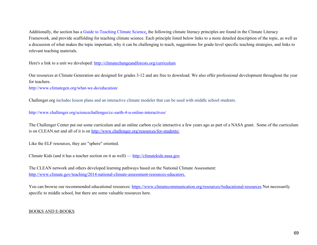Additionally, the section has a Guide to Teaching Climate Science, the following climate literacy principles are found in the Climate Literacy Framework, and provide scaffolding for teaching climate science. Each principle listed below links to a more detailed description of the topic, as well as a discussion of what makes the topic important, why it can be challenging to teach, suggestions for grade-level specific teaching strategies, and links to relevant teaching materials.

Here's a link to a unit we developed: http://climatechangeandforests.org/curriculum

Our resources at Climate Generation are designed for grades 3-12 and are free to download. We also offer professional development throughout the year for teachers.

http://www.climategen.org/what-we-do/education/

Challenger.org includes lesson plans and an interactive climate modeler that can be used with middle school students.

http://www.challenger.org/sciencechallenges/cc-earth-4-u-online-interactives/

The Challenger Center put out some curriculum and an online carbon cycle interactive a few years ago as part of a NASA grant. Some of the curriculum is on CLEAN.net and all of it is on http://www.challenger.org/resources/for-students/.

Like the ELF resources, they are "sphere" oriented.

Climate Kids (and it has a teacher section on it as well) — http://climatekids.nasa.gov

The CLEAN network and others developed learning pathways based on the National Climate Assessment: http://www.climate.gov/teaching/2014-national-climate-assessment-resources-educators.

You can browse our recommended educational resources: https://www.climatecommunication.org/resources/#educational-resources Not necessarily specific to middle school, but there are some valuable resources here.

#### BOOKS AND E-BOOKS